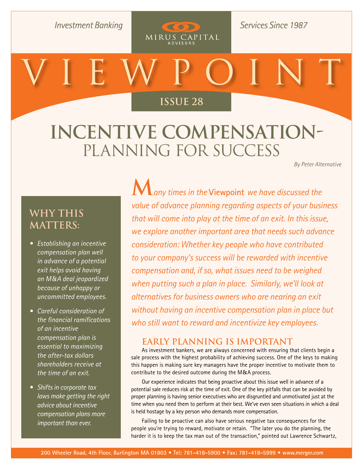**Investment Banking** 

**Services Since 1987** 

# **[Issue 26](http://www.merger.com/research/?section=viewpoint) Issue 28**

 $(50)$ 

MIRUS CAPITAL

# **Incentive Compensation-**Planning for Success

*By Peter Alternative*

### **Why This Matters:**

- *Establishing an incentive compensation plan well in advance of a potential exit helps avoid having an M&A deal jeopardized because of unhappy or uncommitted employees.*
- *Careful consideration of the financial ramifications of an incentive compensation plan is essential to maximizing the after-tax dollars shareholders receive at the time of an exit.*
- *Shifts in corporate tax laws make getting the right advice about incentive compensation plans more important than ever.*

**M***any times in the* **[Viewpoint](http://www.merger.com/research/?section=viewpoint)** *we have discussed the value of advance planning regarding aspects of your business that will come into play at the time of an exit. In this issue, we explore another important area that needs such advance consideration: Whether key people who have contributed to your company's success will be rewarded with incentive compensation and, if so, what issues need to be weighed when putting such a plan in place. Similarly, we'll look at alternatives for business owners who are nearing an exit without having an incentive compensation plan in place but who still want to reward and incentivize key employees.* 

#### **Early Planning Is Important**

As investment bankers, we are always concerned with ensuring that clients begin a sale process with the highest probability of achieving success. One of the keys to making this happen is making sure key managers have the proper incentive to motivate them to contribute to the desired outcome during the M&A process.

Our experience indicates that being proactive about this issue well in advance of a potential sale reduces risk at the time of exit. One of the key pitfalls that can be avoided by proper planning is having senior executives who are disgruntled and unmotivated just at the time when you need them to perform at their best. We've even seen situations in which a deal is held hostage by a key person who demands more compensation.

Failing to be proactive can also have serious negative tax consequences for the people you're trying to reward, motivate or retain. "The later you do the planning, the harder it is to keep the tax man out of the transaction," pointed out Lawrence Schwartz,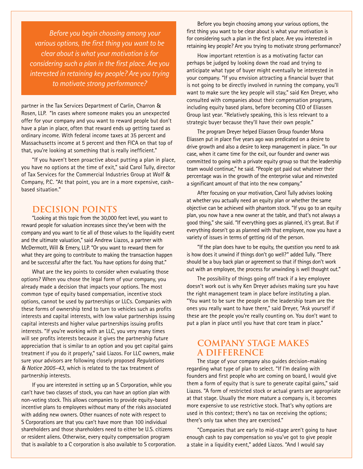*Before you begin choosing among your various options, the first thing you want to be clear about is what your motivation is for considering such a plan in the first place. Are you interested in retaining key people? Are you trying to motivate strong performance?* 

partner in the Tax Services Department of Carlin, Charron & Rosen, LLP. "In cases where someone makes you an unexpected offer for your company and you want to reward people but don't have a plan in place, often that reward ends up getting taxed as ordinary income. With federal income taxes at 35 percent and Massachusetts income at 5 percent and then FICA on that top of that, you're looking at something that is really inefficient."

"If you haven't been proactive about putting a plan in place, you have no options at the time of exit," said Carol Tully, director of Tax Services for the Commercial Industries Group at Wolf & Company, P.C. "At that point, you are in a more expensive, cashbased situation."

#### **Decision Points**

"Looking at this topic from the 30,000 feet level, you want to reward people for valuation increases since they've been with the company and you want to tie all of those values to the liquidity event and the ultimate valuation," said Andrew Liazos, a partner with McDermott, Will & Emery, LLP. "Or you want to reward them for what they are going to contribute to making the transaction happen and be successful after the fact. You have options for doing that."

What are the key points to consider when evaluating those options? When you chose the legal form of your company, you already made a decision that impacts your options. The most common type of equity based compensation, incentive stock options, cannot be used by partnerships or LLCs. Companies with these forms of ownership tend to turn to vehicles such as profits interests and capital interests, with low value partnerships issuing capital interests and higher value partnerships issuing profits interests. "If you're working with an LLC, you very many times will see profits interests because it gives the partnership future appreciation that is similar to an option and you get capital gains treatment if you do it properly," said Liazos. For LLC owners, make sure your advisors are following closely proposed *Regulations & Notice 2005-43*, which is related to the tax treatment of partnership interests.

If you are interested in setting up an S Corporation, while you can't have two classes of stock, you can have an option plan with non-voting stock. This allows companies to provide equity-based incentive plans to employees without many of the risks associated with adding new owners. Other nuances of note with respect to S Corporations are that you can't have more than 100 individual shareholders and those shareholders need to either be U.S. citizens or resident aliens. Otherwise, every equity compensation program that is available to a C corporation is also available to S corporation.

Before you begin choosing among your various options, the first thing you want to be clear about is what your motivation is for considering such a plan in the first place. Are you interested in retaining key people? Are you trying to motivate strong performance?

How important retention is as a motivating factor can perhaps be judged by looking down the road and trying to anticipate what type of buyer might eventually be interested in your company. "If you envision attracting a financial buyer that is not going to be directly involved in running the company, you'll want to make sure the key people will stay," said Ken Dreyer, who consulted with companies about their compensation programs, including equity based plans, before becoming CEO of Eliassen Group last year. "Relatively speaking, this is less relevant to a strategic buyer because they'll have their own people."

The program Dreyer helped Eliassen Group founder Mona Eliassen put in place five years ago was predicated on a desire to drive growth and also a desire to keep management in place. "In our case, when it came time for the exit, our founder and owner was committed to going with a private equity group so that the leadership team would continue," he said. "People got paid out whatever their percentage was in the growth of the enterprise value and reinvested a significant amount of that into the new company."

After focusing on your motivation, Carol Tully advises looking at whether you actually need an equity plan or whether the same objective can be achieved with phantom stock. "If you go to an equity plan, you now have a new owner at the table, and that's not always a good thing," she said. "If everything goes as planned, it's great. But if everything doesn't go as planned with that employee, now you have a variety of issues in terms of getting rid of the person.

"If the plan does have to be equity, the question you need to ask is how does it unwind if things don't go well?" added Tully. "There should be a buy back plan or agreement so that if things don't work out with an employee, the process for unwinding is well thought out."

The possibility of things going off track if a key employee doesn't work out is why Ken Dreyer advises making sure you have the right management team in place before instituting a plan. "You want to be sure the people on the leadership team are the ones you really want to have there," said Dreyer, "Ask yourself if these are the people you're really counting on. You don't want to put a plan in place until you have that core team in place."

#### **Company Stage Makes a Difference**

The stage of your company also guides decision-making regarding what type of plan to select. "If I'm dealing with founders and first people who are coming on board, I would give them a form of equity that is sure to generate capital gains," said Liazos. "A form of restricted stock or actual grants are appropriate at that stage. Usually the more mature a company is, it becomes more expensive to use restrictive stock. That's why options are used in this context; there's no tax on receiving the options; there's only tax when they are exercised."

"Companies that are early to mid-stage aren't going to have enough cash to pay compensation so you've got to give people a stake in a liquidity event," added Liazos. "And I would say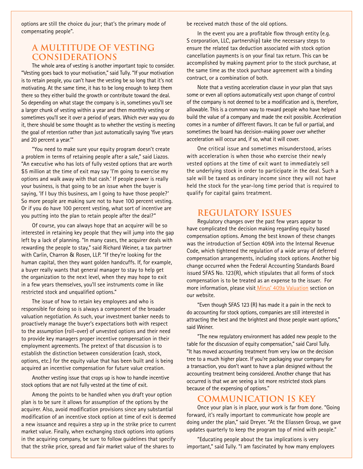options are still the choice du jour; that's the primary mode of compensating people".

#### **A Multitude of Vesting Considerations**

The whole area of vesting is another important topic to consider. "Vesting goes back to your motivation," said Tully. "If your motivation is to retain people, you can't have the vesting be so long that it's not motivating. At the same time, it has to be long enough to keep them there so they either build the growth or contribute toward the deal. So depending on what stage the company is in, sometimes you'll see a larger chunk of vesting within a year and then monthly vesting or sometimes you'll see it over a period of years. Which ever way you do it, there should be some thought as to whether the vesting is meeting the goal of retention rather than just automatically saying 'five years and 20 percent a year.'"

"You need to make sure your equity program doesn't create a problem in terms of retaining people after a sale," said Liazos. "An executive who has lots of fully vested options that are worth \$5 million at the time of exit may say 'I'm going to exercise my options and walk away with that cash.' If people power is really your business, is that going to be an issue when the buyer is saying, 'If I buy this business, am I going to have those people?' So more people are making sure not to have 100 percent vesting. Or if you do have 100 percent vesting, what sort of incentive are you putting into the plan to retain people after the deal?"

Of course, you can always hope that an acquirer will be so interested in retaining key people that they will jump into the gap left by a lack of planning. "In many cases, the acquirer deals with rewarding the people to stay," said Richard Weiner, a tax partner with Carlin, Charron & Rosen, LLP. "If they're looking for the human capital, then they want golden handcuffs. If, for example, a buyer really wants that general manager to stay to help get the organization to the next level, when they may hope to exit in a few years themselves, you'll see instruments come in like restricted stock and unqualified options."

The issue of how to retain key employees and who is responsible for doing so is always a component of the broader valuation negotiation. As such, your investment banker needs to proactively manage the buyer's expectations both with respect to the assumption (roll-over) of unvested options and their need to provide key managers proper incentive compensation in their employment agreements. The pretext of that discussion is to establish the distinction between consideration (cash, stock, options, etc.) for the equity value that has been built and is being acquired an incentive compensation for future value creation.

Another vesting issue that crops up is how to handle incentive stock options that are not fully vested at the time of exit.

Among the points to be handled when you draft your option plan is to be sure it allows for assumption of the options by the acquirer. Also, avoid modification provisions since any substantial modification of an incentive stock option at time of exit is deemed a new issuance and requires a step up in the strike price to current market value. Finally, when exchanging stock options into options in the acquiring company, be sure to follow guidelines that specify that the strike price, spread and fair market value of the shares to

be received match those of the old options.

In the event you are a profitable flow through entity (e.g. S corporation, LLC, partnership) take the necessary steps to ensure the related tax deduction associated with stock option cancellation payments is on your final tax return. This can be accomplished by making payment prior to the stock purchase, at the same time as the stock purchase agreement with a binding contract, or a combination of both.

Note that a vesting acceleration clause in your plan that says some or even all options automatically vest upon change of control of the company is not deemed to be a modification and is, therefore, allowable. This is a common way to reward people who have helped build the value of a company and made the exit possible. Acceleration comes in a number of different flavors. It can be full or partial, and sometimes the board has decision-making power over whether acceleration will occur and, if so, what it will cover.

One critical issue and sometimes misunderstood, arises with acceleration is when those who exercise their newly vested options at the time of exit want to immediately sell the underlying stock in order to participate in the deal. Such a sale will be taxed as ordinary income since they will not have held the stock for the year-long time period that is required to qualify for capital gains treatment.

#### **Regulatory Issues**

Regulatory changes over the past few years appear to have complicated the decision making regarding equity based compensation options. Among the best known of these changes was the introduction of Section 409A into the Internal Revenue Code, which tightened the regulation of a wide array of deferred compensation arrangements, including stock options. Another big change occurred when the Federal Accounting Standards Board issued SFAS No. 123(R), which stipulates that all forms of stock compensation is to be treated as an expense to the issuer. For more information, please visit Mirus' 409a Valuation section on our website.

"Even though SFAS 123 (R) has made it a pain in the neck to do accounting for stock options, companies are still interested in attracting the best and the brightest and those people want options," said Weiner.

"The new regulatory environment has added new people to the table for the discussion of equity compensation," said Carol Tully. "It has moved accounting treatment from very low on the decision tree to a much higher place. If you're packaging your company for a transaction, you don't want to have a plan designed without the accounting treatment being considered. Another change that has occurred is that we are seeing a lot more restricted stock plans because of the expensing of options."

#### **Communication Is Key**

Once your plan is in place, your work is far from done. "Going forward, it's really important to communicate how people are doing under the plan," said Dreyer. "At the Eliassen Group, we gave updates quarterly to keep the program top of mind with people."

"Educating people about the tax implications is very important," said Tully. "I am fascinated by how many employees